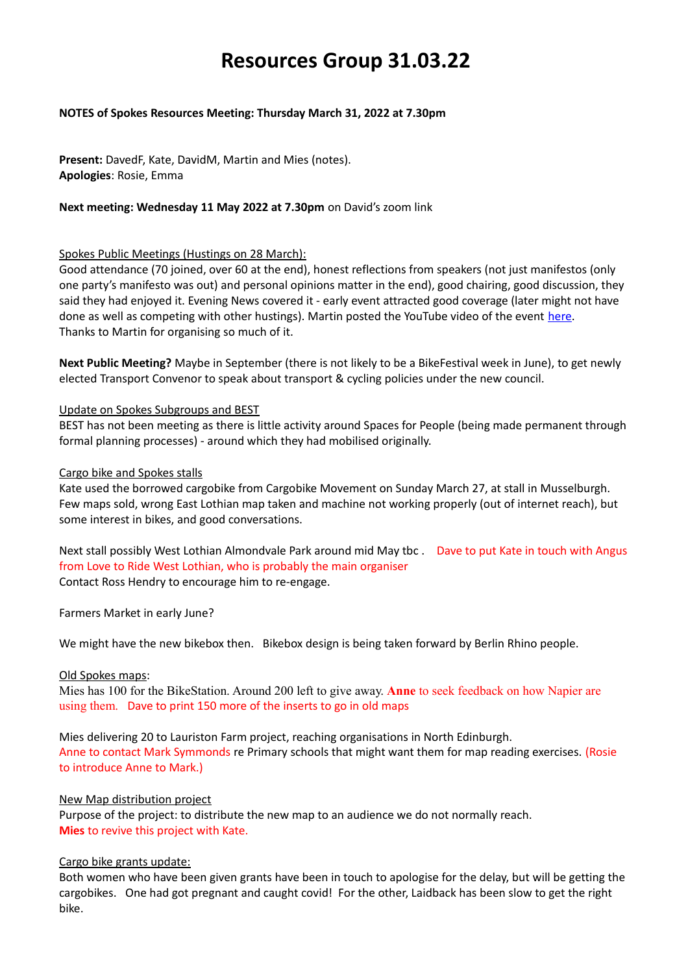# **Resources Group 31.03.22**

# **NOTES of Spokes Resources Meeting: Thursday March 31, 2022 at 7.30pm**

**Present:** DavedF, Kate, DavidM, Martin and Mies (notes). **Apologies**: Rosie, Emma

# **Next meeting: Wednesday 11 May 2022 at 7.30pm** on David's zoom link

## Spokes Public Meetings (Hustings on 28 March):

Good attendance (70 joined, over 60 at the end), honest reflections from speakers (not just manifestos (only one party's manifesto was out) and personal opinions matter in the end), good chairing, good discussion, they said they had enjoyed it. Evening News covered it - early event attracted good coverage (later might not have done as well as competing with other hustings). Martin posted the YouTube video of the event [here.](https://www.youtube.com/watch?v=LzoZaQ4BBV4) Thanks to Martin for organising so much of it.

**Next Public Meeting?** Maybe in September (there is not likely to be a BikeFestival week in June), to get newly elected Transport Convenor to speak about transport & cycling policies under the new council.

## Update on Spokes Subgroups and BEST

BEST has not been meeting as there is little activity around Spaces for People (being made permanent through formal planning processes) - around which they had mobilised originally.

### Cargo bike and Spokes stalls

Kate used the borrowed cargobike from Cargobike Movement on Sunday March 27, at stall in Musselburgh. Few maps sold, wrong East Lothian map taken and machine not working properly (out of internet reach), but some interest in bikes, and good conversations.

Next stall possibly West Lothian Almondvale Park around mid May tbc . Dave to put Kate in touch with Angus from Love to Ride West Lothian, who is probably the main organiser Contact Ross Hendry to encourage him to re-engage.

Farmers Market in early June?

We might have the new bikebox then. Bikebox design is being taken forward by Berlin Rhino people.

### Old Spokes maps:

Mies has 100 for the BikeStation. Around 200 left to give away. **Anne** to seek feedback on how Napier are using them. Dave to print 150 more of the inserts to go in old maps

Mies delivering 20 to Lauriston Farm project, reaching organisations in North Edinburgh. Anne to contact Mark Symmonds re Primary schools that might want them for map reading exercises. (Rosie to introduce Anne to Mark.)

### New Map distribution project

Purpose of the project: to distribute the new map to an audience we do not normally reach. **Mies** to revive this project with Kate.

# Cargo bike grants update:

Both women who have been given grants have been in touch to apologise for the delay, but will be getting the cargobikes. One had got pregnant and caught covid! For the other, Laidback has been slow to get the right bike.